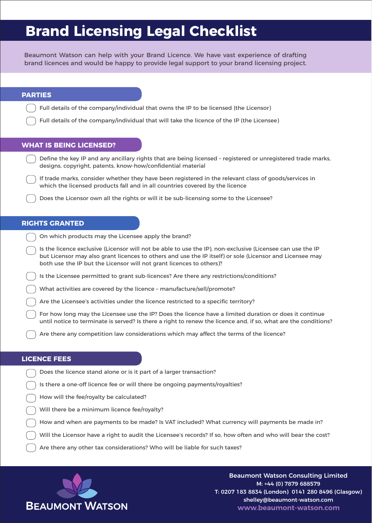# **Brand Licensing Legal Checklist**

Beaumont Watson can help with your Brand Licence. We have vast experience of drafting brand licences and would be happy to provide legal support to your brand licensing project.

## **PARTIES**

Full details of the company/individual that owns the IP to be licensed (the Licensor)

Full details of the company/individual that will take the licence of the IP (the Licensee)

## **WHAT IS BEING LICENSED?**

Define the key IP and any ancillary rights that are being licensed – registered or unregistered trade marks, designs, copyright, patents, know-how/confidential material

If trade marks, consider whether they have been registered in the relevant class of goods/services in which the licensed products fall and in all countries covered by the licence

Does the Licensor own all the rights or will it be sub-licensing some to the Licensee?

## **RIGHTS GRANTED**

On which products may the Licensee apply the brand?

Is the licence exclusive (Licensor will not be able to use the IP), non-exclusive (Licensee can use the IP but Licensor may also grant licences to others and use the IP itself) or sole (Licensor and Licensee may both use the IP but the Licensor will not grant licences to others)?

Is the Licensee permitted to grant sub-licences? Are there any restrictions/conditions?

What activities are covered by the licence – manufacture/sell/promote?

Are the Licensee's activities under the licence restricted to a specific territory?

For how long may the Licensee use the IP? Does the licence have a limited duration or does it continue until notice to terminate is served? Is there a right to renew the licence and, if so, what are the conditions?

Are there any competition law considerations which may affect the terms of the licence?

## **LICENCE FEES**

- Does the licence stand alone or is it part of a larger transaction?
- Is there a one-off licence fee or will there be ongoing payments/royalties?
- How will the fee/royalty be calculated?
- Will there be a minimum licence fee/royalty?
- How and when are payments to be made? Is VAT included? What currency will payments be made in?
- Will the Licensor have a right to audit the Licensee's records? If so, how often and who will bear the cost?

Are there any other tax considerations? Who will be liable for such taxes?



Beaumont Watson Consulting Limited M: +44 (0) 7879 688579 T: 0207 183 8834 (London) 0141 280 8496 (Glasgow) shelley@beaumont-watson.com **www.beaumont-watson.com**